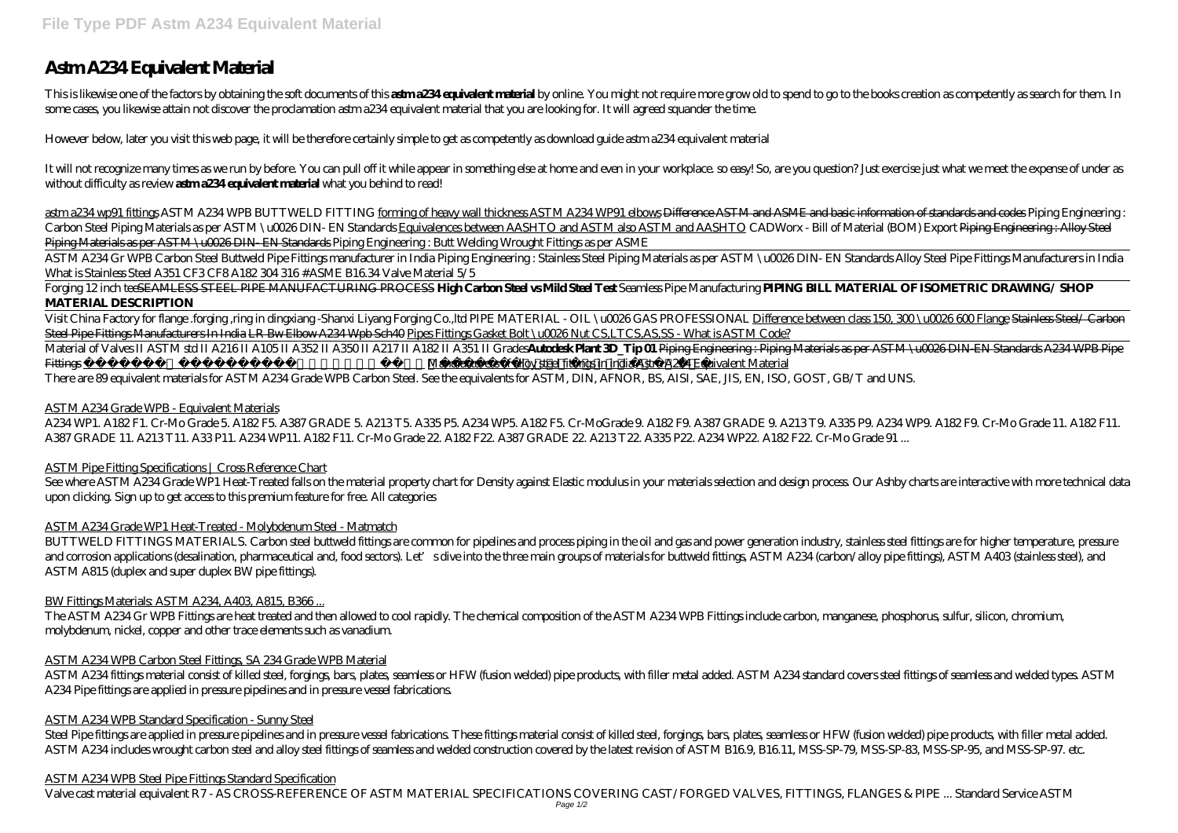# **Astm A234 Equivalent Material**

This is likewise one of the factors by obtaining the soft documents of this astma? 34 equivalent material by online. You might not require more grow old to spend to go to the books creation as competently as search for the some cases, you likewise attain not discover the proclamation astm a234 equivalent material that you are looking for. It will agreed squander the time.

However below, later you visit this web page, it will be therefore certainly simple to get as competently as download guide astm a234 equivalent material

It will not recognize many times as we run by before. You can pull off it while appear in something else at home and even in your workplace, so easy! So, are you question? Just exercise just what we meet the expense of und without difficulty as review **astma234 equivalent material** what you behind to read!

Material of Valves II ASTM std II A216 II A105 II A352 II A350 II A217 II A182 II A351 II Grades**Autodesk Plant 3D\_Tip 01** Piping Engineering : Piping Materials as per ASTM \u0026 DIN-EN Standards A234 WPB Pipe Fittings **Exact Frequently used ASTM materials grades Manufacturers of alloy steel fittings in india Astm A234 Equivalent Material** 

astm a234 wp91 fittings *ASTM A234 WPB BUTTWELD FITTING* forming of heavy wall thickness ASTM A234 WP91 elbows Difference ASTM and ASME and basic information of standards and codes *Piping Engineering : Carbon Steel Piping Materials as per ASTM \u0026 DIN- EN Standards* Equivalences between AASHTO and ASTM also ASTM and AASHTO *CADWorx - Bill of Material (BOM) Export* Piping Engineering : Alloy Steel Piping Materials as per ASTM \u0026 DIN- EN Standards *Piping Engineering : Butt Welding Wrought Fittings as per ASME*

A234 WP1. A182 F1. Cr-Mo Grade 5. A182 F5. A387 GRADE 5. A213 T5. A335 P5. A234 WP5. A182 F5. Cr-MoGrade 9. A182 F9. A387 GRADE 9. A213 T9. A335 P9. A234 WP9. A182 F9. Cr-Mo Grade 11. A182 F11. A387 GRADE 11. A213 T11. A33 P11. A234 WP11. A182 F11. Cr-Mo Grade 22. A182 F22. A387 GRADE 22. A213 T22. A335 P22. A234 WP22. A182 F22. Cr-Mo Grade 91 ...

ASTM A234 Gr WPB Carbon Steel Buttweld Pipe Fittings manufacturer in India Piping Engineering : Stainless Steel Piping Materials as per ASTM \u0026 DIN- EN Standards Alloy Steel Pipe Fittings Manufacturers in India What is Stainless Steel A351 CF3 CF8 A182 304 316 #ASME B16.34 Valve Material 5/5

See where ASTM A234 Grade WP1 Heat-Treated falls on the material property chart for Density against Elastic modulus in your materials selection and design process. Our Ashby charts are interactive with more technical data upon clicking. Sign up to get access to this premium feature for free. All categories

Forging 12 inch teeSEAMLESS STEEL PIPE MANUFACTURING PROCESS **High Carbon Steel vs Mild Steel Test** Seamless Pipe Manufacturing **PIPING BILL MATERIAL OF ISOMETRIC DRAWING/ SHOP MATERIAL DESCRIPTION**

Visit China Factory for flange .forging ,ring in dingxiang -Shanxi Liyang Forging Co.,ltd PIPE MATERIAL - OIL \u0026 GAS PROFESSIONAL Difference between class 150, 300 \u0026 600 Flange Stainless Steel/ Carbon Steel Pipe Fittings Manufacturers In India LR Bw Elbow A234 Wpb Sch40 Pipes Fittings Gasket Bolt \u0026 Nut CS,LTCS,AS,SS - What is ASTM Code?

There are 89 equivalent materials for ASTM A234 Grade WPB Carbon Steel. See the equivalents for ASTM, DIN, AFNOR, BS, AISI, SAE, JIS, EN, ISO, GOST, GB/T and UNS.

# ASTM A234 Grade WPB - Equivalent Materials

# ASTM Pipe Fitting Specifications | Cross Reference Chart

# ASTM A234 Grade WP1 Heat-Treated - Molybdenum Steel - Matmatch

BUTTWELD FITTINGS MATERIALS. Carbon steel buttweld fittings are common for pipelines and process piping in the oil and gas and power generation industry, stainless steel fittings are for higher temperature, pressure and corrosion applications (desalination, pharmaceutical and, food sectors). Let's dive into the three main groups of materials for buttweld fittings, ASTM A234 (carbon/alloy pipe fittings), ASTM A403 (stainless steel), and ASTM A815 (duplex and super duplex BW pipe fittings).

# BW Fittings Materials: ASTM A234, A403, A815, B366...

The ASTM A234 Gr WPB Fittings are heat treated and then allowed to cool rapidly. The chemical composition of the ASTM A234 WPB Fittings include carbon, manganese, phosphorus, sulfur, silicon, chromium, molybdenum, nickel, copper and other trace elements such as vanadium.

# ASTM A234 WPB Carbon Steel Fittings, SA 234 Grade WPB Material

ASTM A234 fittings material consist of killed steel, forgings, bars, plates, seamless or HFW (fusion welded) pipe products, with filler metal added. ASTM A234 standard covers steel fittings of seamless and welded types. ASTM A234 Pipe fittings are applied in pressure pipelines and in pressure vessel fabrications.

# ASTM A234 WPB Standard Specification - Sunny Steel

Steel Pipe fittings are applied in pressure pipelines and in pressure vesel fabrications. These fittings material consist of killed steel, forgings, bars, plates, seamless or HFW (fusion welded) pipe products, with filler ASTM A234 includes wrought carbon steel and alloy steel fittings of seamless and welded construction covered by the latest revision of ASTM B16.9, B16.11, MSS-SP-79, MSS-SP-83, MSS-SP-95, and MSS-SP-97. etc.

# ASTM A234 WPB Steel Pipe Fittings Standard Specification

Valve cast material equivalent R7 - AS CROSS-REFERENCE OF ASTM MATERIAL SPECIFICATIONS COVERING CAST/FORGED VALVES, FITTINGS, FLANGES & PIPE ... Standard Service ASTM